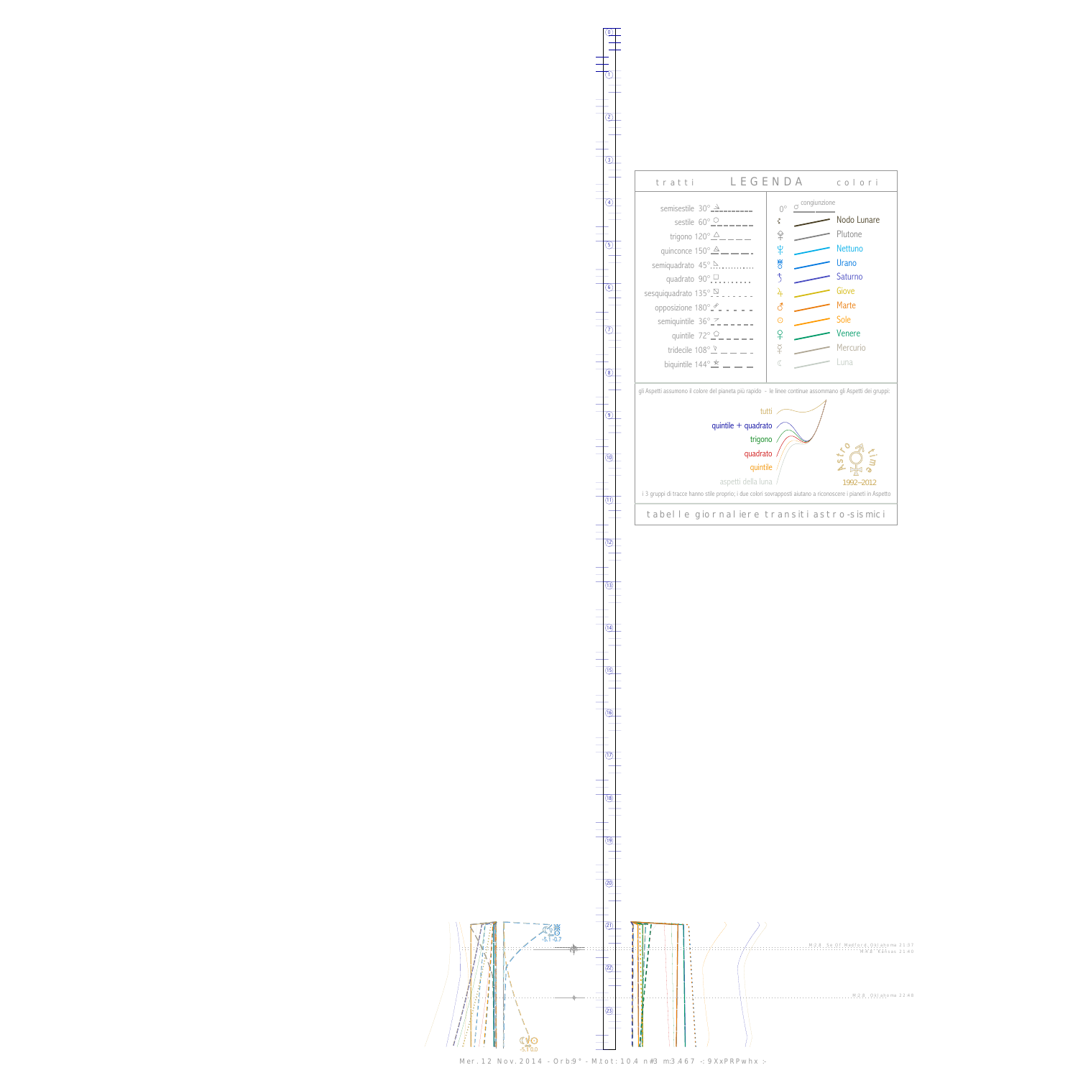